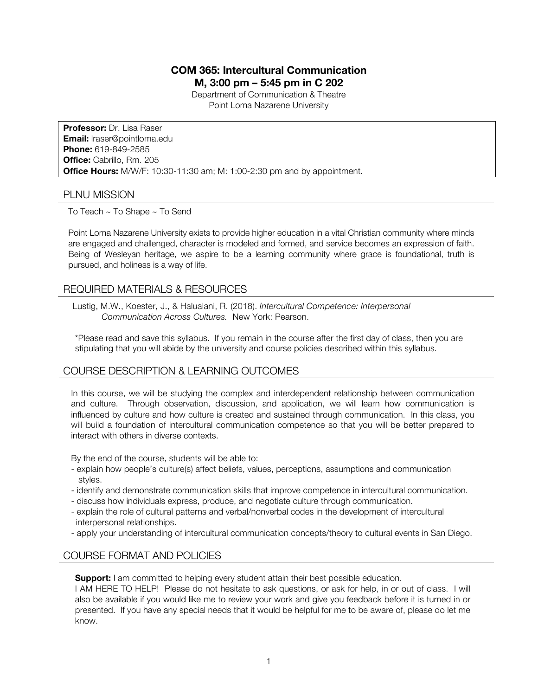# **COM 365: Intercultural Communication**

**M, 3:00 pm – 5:45 pm in C 202**

Department of Communication & Theatre Point Loma Nazarene University

**Professor:** Dr. Lisa Raser **Email:** lraser@pointloma.edu **Phone:** 619-849-2585 **Office:** Cabrillo, Rm. 205 **Office Hours:** M/W/F: 10:30-11:30 am; M: 1:00-2:30 pm and by appointment.

## PLNU MISSION

To Teach ~ To Shape ~ To Send

Point Loma Nazarene University exists to provide higher education in a vital Christian community where minds are engaged and challenged, character is modeled and formed, and service becomes an expression of faith. Being of Wesleyan heritage, we aspire to be a learning community where grace is foundational, truth is pursued, and holiness is a way of life.

## REQUIRED MATERIALS & RESOURCES

Lustig, M.W., Koester, J., & Halualani, R. (2018). *Intercultural Competence: Interpersonal Communication Across Cultures.* New York: Pearson.

\*Please read and save this syllabus. If you remain in the course after the first day of class, then you are stipulating that you will abide by the university and course policies described within this syllabus.

# COURSE DESCRIPTION & LEARNING OUTCOMES

In this course, we will be studying the complex and interdependent relationship between communication and culture. Through observation, discussion, and application, we will learn how communication is influenced by culture and how culture is created and sustained through communication. In this class, you will build a foundation of intercultural communication competence so that you will be better prepared to interact with others in diverse contexts.

By the end of the course, students will be able to:

- explain how people's culture(s) affect beliefs, values, perceptions, assumptions and communication styles.
- identify and demonstrate communication skills that improve competence in intercultural communication.
- discuss how individuals express, produce, and negotiate culture through communication.
- explain the role of cultural patterns and verbal/nonverbal codes in the development of intercultural interpersonal relationships.
- apply your understanding of intercultural communication concepts/theory to cultural events in San Diego.

# COURSE FORMAT AND POLICIES

**Support:** I am committed to helping every student attain their best possible education.

I AM HERE TO HELP! Please do not hesitate to ask questions, or ask for help, in or out of class. I will also be available if you would like me to review your work and give you feedback before it is turned in or presented. If you have any special needs that it would be helpful for me to be aware of, please do let me know.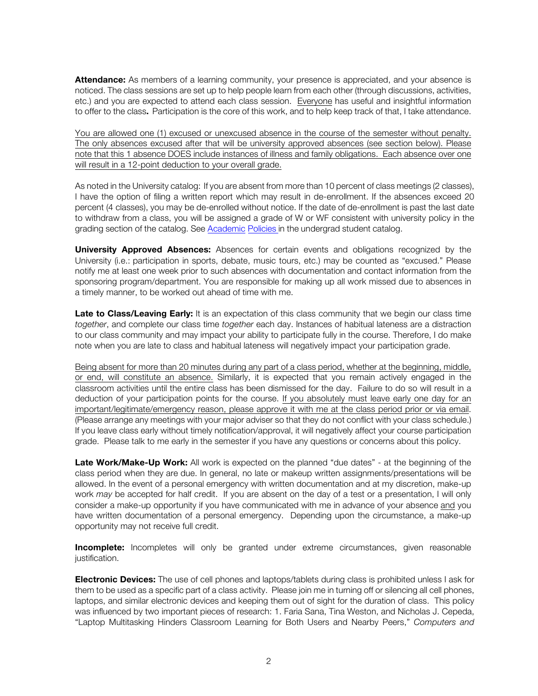**Attendance:** As members of a learning community, your presence is appreciated, and your absence is noticed. The class sessions are set up to help people learn from each other (through discussions, activities, etc.) and you are expected to attend each class session. Everyone has useful and insightful information to offer to the class. Participation is the core of this work, and to help keep track of that, I take attendance.

You are allowed one (1) excused or unexcused absence in the course of the semester without penalty. The only absences excused after that will be university approved absences (see section below). Please note that this 1 absence DOES include instances of illness and family obligations. Each absence over one will result in a 12-point deduction to your overall grade.

As noted in the University catalog: If you are absent from more than 10 percent of class meetings (2 classes), I have the option of filing a written report which may result in de-enrollment. If the absences exceed 20 percent (4 classes), you may be de-enrolled without notice. If the date of de-enrollment is past the last date to withdraw from a class, you will be assigned a grade of W or WF consistent with university policy in the grading section of the catalog. See Academic Policies in the undergrad student catalog.

**University Approved Absences:** Absences for certain events and obligations recognized by the University (i.e.: participation in sports, debate, music tours, etc.) may be counted as "excused." Please notify me at least one week prior to such absences with documentation and contact information from the sponsoring program/department. You are responsible for making up all work missed due to absences in a timely manner, to be worked out ahead of time with me.

Late to Class/Leaving Early: It is an expectation of this class community that we begin our class time *together*, and complete our class time *together* each day. Instances of habitual lateness are a distraction to our class community and may impact your ability to participate fully in the course. Therefore, I do make note when you are late to class and habitual lateness will negatively impact your participation grade.

Being absent for more than 20 minutes during any part of a class period, whether at the beginning, middle, or end, will constitute an absence. Similarly, it is expected that you remain actively engaged in the classroom activities until the entire class has been dismissed for the day. Failure to do so will result in a deduction of your participation points for the course. If you absolutely must leave early one day for an important/legitimate/emergency reason, please approve it with me at the class period prior or via email. (Please arrange any meetings with your major adviser so that they do not conflict with your class schedule.) If you leave class early without timely notification/approval, it will negatively affect your course participation grade. Please talk to me early in the semester if you have any questions or concerns about this policy.

**Late Work/Make-Up Work:** All work is expected on the planned "due dates" - at the beginning of the class period when they are due. In general, no late or makeup written assignments/presentations will be allowed. In the event of a personal emergency with written documentation and at my discretion, make-up work *may* be accepted for half credit. If you are absent on the day of a test or a presentation, I will only consider a make-up opportunity if you have communicated with me in advance of your absence and you have written documentation of a personal emergency. Depending upon the circumstance, a make-up opportunity may not receive full credit.

**Incomplete:** Incompletes will only be granted under extreme circumstances, given reasonable justification.

**Electronic Devices:** The use of cell phones and laptops/tablets during class is prohibited unless I ask for them to be used as a specific part of a class activity. Please join me in turning off or silencing all cell phones, laptops, and similar electronic devices and keeping them out of sight for the duration of class. This policy was influenced by two important pieces of research: 1. Faria Sana, Tina Weston, and Nicholas J. Cepeda, "Laptop Multitasking Hinders Classroom Learning for Both Users and Nearby Peers," *Computers and*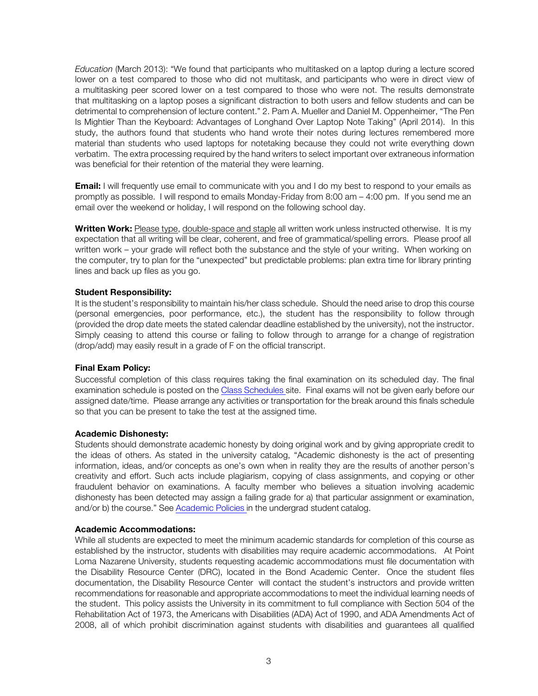*Education* (March 2013): "We found that participants who multitasked on a laptop during a lecture scored lower on a test compared to those who did not multitask, and participants who were in direct view of a multitasking peer scored lower on a test compared to those who were not. The results demonstrate that multitasking on a laptop poses a significant distraction to both users and fellow students and can be detrimental to comprehension of lecture content." 2. Pam A. Mueller and Daniel M. Oppenheimer, "The Pen Is Mightier Than the Keyboard: Advantages of Longhand Over Laptop Note Taking" (April 2014). In this study, the authors found that students who hand wrote their notes during lectures remembered more material than students who used laptops for notetaking because they could not write everything down verbatim. The extra processing required by the hand writers to select important over extraneous information was beneficial for their retention of the material they were learning.

**Email:** I will frequently use email to communicate with you and I do my best to respond to your emails as promptly as possible. I will respond to emails Monday-Friday from 8:00 am – 4:00 pm. If you send me an email over the weekend or holiday, I will respond on the following school day.

**Written Work:** Please type, double-space and staple all written work unless instructed otherwise.It is my expectation that all writing will be clear, coherent, and free of grammatical/spelling errors. Please proof all written work – your grade will reflect both the substance and the style of your writing. When working on the computer, try to plan for the "unexpected" but predictable problems: plan extra time for library printing lines and back up files as you go.

#### **Student Responsibility:**

It is the student's responsibility to maintain his/her class schedule. Should the need arise to drop this course (personal emergencies, poor performance, etc.), the student has the responsibility to follow through (provided the drop date meets the stated calendar deadline established by the university), not the instructor. Simply ceasing to attend this course or failing to follow through to arrange for a change of registration (drop/add) may easily result in a grade of F on the official transcript.

#### **Final Exam Policy:**

Successful completion of this class requires taking the final examination on its scheduled day. The final examination schedule is posted on the Class Schedules site. Final exams will not be given early before our assigned date/time. Please arrange any activities or transportation for the break around this finals schedule so that you can be present to take the test at the assigned time.

#### **Academic Dishonesty:**

Students should demonstrate academic honesty by doing original work and by giving appropriate credit to the ideas of others. As stated in the university catalog, "Academic dishonesty is the act of presenting information, ideas, and/or concepts as one's own when in reality they are the results of another person's creativity and effort. Such acts include plagiarism, copying of class assignments, and copying or other fraudulent behavior on examinations. A faculty member who believes a situation involving academic dishonesty has been detected may assign a failing grade for a) that particular assignment or examination, and/or b) the course." See Academic Policies in the undergrad student catalog.

#### **Academic Accommodations:**

While all students are expected to meet the minimum academic standards for completion of this course as established by the instructor, students with disabilities may require academic accommodations. At Point Loma Nazarene University, students requesting academic accommodations must file documentation with the Disability Resource Center (DRC), located in the Bond Academic Center. Once the student files documentation, the Disability Resource Center will contact the student's instructors and provide written recommendations for reasonable and appropriate accommodations to meet the individual learning needs of the student. This policy assists the University in its commitment to full compliance with Section 504 of the Rehabilitation Act of 1973, the Americans with Disabilities (ADA) Act of 1990, and ADA Amendments Act of 2008, all of which prohibit discrimination against students with disabilities and guarantees all qualified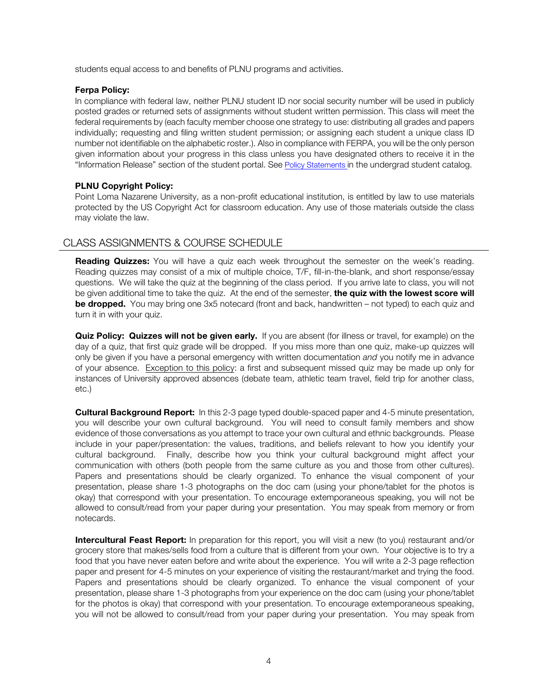students equal access to and benefits of PLNU programs and activities.

#### **Ferpa Policy:**

In compliance with federal law, neither PLNU student ID nor social security number will be used in publicly posted grades or returned sets of assignments without student written permission. This class will meet the federal requirements by (each faculty member choose one strategy to use: distributing all grades and papers individually; requesting and filing written student permission; or assigning each student a unique class ID number not identifiable on the alphabetic roster.). Also in compliance with FERPA, you will be the only person given information about your progress in this class unless you have designated others to receive it in the "Information Release" section of the student portal. See Policy Statements in the undergrad student catalog.

## **PLNU Copyright Policy:**

Point Loma Nazarene University, as a non-profit educational institution, is entitled by law to use materials protected by the US Copyright Act for classroom education. Any use of those materials outside the class may violate the law.

# CLASS ASSIGNMENTS & COURSE SCHEDULE

**Reading Quizzes:** You will have a quiz each week throughout the semester on the week's reading. Reading quizzes may consist of a mix of multiple choice, T/F, fill-in-the-blank, and short response/essay questions. We will take the quiz at the beginning of the class period. If you arrive late to class, you will not be given additional time to take the quiz. At the end of the semester, **the quiz with the lowest score will be dropped.** You may bring one 3x5 notecard (front and back, handwritten – not typed) to each quiz and turn it in with your quiz.

**Quiz Policy: Quizzes will not be given early.** If you are absent (for illness or travel, for example) on the day of a quiz, that first quiz grade will be dropped. If you miss more than one quiz, make-up quizzes will only be given if you have a personal emergency with written documentation *and* you notify me in advance of your absence. Exception to this policy: a first and subsequent missed quiz may be made up only for instances of University approved absences (debate team, athletic team travel, field trip for another class, etc.)

**Cultural Background Report:** In this 2-3 page typed double-spaced paper and 4-5 minute presentation, you will describe your own cultural background. You will need to consult family members and show evidence of those conversations as you attempt to trace your own cultural and ethnic backgrounds. Please include in your paper/presentation: the values, traditions, and beliefs relevant to how you identify your cultural background. Finally, describe how you think your cultural background might affect your communication with others (both people from the same culture as you and those from other cultures). Papers and presentations should be clearly organized. To enhance the visual component of your presentation, please share 1-3 photographs on the doc cam (using your phone/tablet for the photos is okay) that correspond with your presentation. To encourage extemporaneous speaking, you will not be allowed to consult/read from your paper during your presentation. You may speak from memory or from notecards.

**Intercultural Feast Report:** In preparation for this report, you will visit a new (to you) restaurant and/or grocery store that makes/sells food from a culture that is different from your own. Your objective is to try a food that you have never eaten before and write about the experience. You will write a 2-3 page reflection paper and present for 4-5 minutes on your experience of visiting the restaurant/market and trying the food. Papers and presentations should be clearly organized. To enhance the visual component of your presentation, please share 1-3 photographs from your experience on the doc cam (using your phone/tablet for the photos is okay) that correspond with your presentation. To encourage extemporaneous speaking, you will not be allowed to consult/read from your paper during your presentation. You may speak from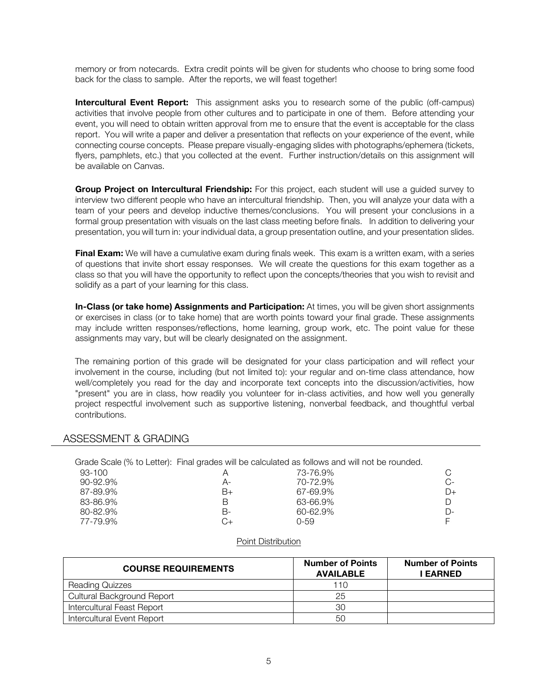memory or from notecards. Extra credit points will be given for students who choose to bring some food back for the class to sample. After the reports, we will feast together!

**Intercultural Event Report:** This assignment asks you to research some of the public (off-campus) activities that involve people from other cultures and to participate in one of them.Before attending your event, you will need to obtain written approval from me to ensure that the event is acceptable for the class report. You will write a paper and deliver a presentation that reflects on your experience of the event, while connecting course concepts. Please prepare visually-engaging slides with photographs/ephemera (tickets, flyers, pamphlets, etc.) that you collected at the event. Further instruction/details on this assignment will be available on Canvas.

**Group Project on Intercultural Friendship:** For this project, each student will use a guided survey to interview two different people who have an intercultural friendship. Then, you will analyze your data with a team of your peers and develop inductive themes/conclusions. You will present your conclusions in a formal group presentation with visuals on the last class meeting before finals. In addition to delivering your presentation, you will turn in: your individual data, a group presentation outline, and your presentation slides.

**Final Exam:** We will have a cumulative exam during finals week. This exam is a written exam, with a series of questions that invite short essay responses. We will create the questions for this exam together as a class so that you will have the opportunity to reflect upon the concepts/theories that you wish to revisit and solidify as a part of your learning for this class.

**In-Class (or take home) Assignments and Participation:** At times, you will be given short assignments or exercises in class (or to take home) that are worth points toward your final grade. These assignments may include written responses/reflections, home learning, group work, etc. The point value for these assignments may vary, but will be clearly designated on the assignment.

The remaining portion of this grade will be designated for your class participation and will reflect your involvement in the course, including (but not limited to): your regular and on-time class attendance, how well/completely you read for the day and incorporate text concepts into the discussion/activities, how "present" you are in class, how readily you volunteer for in-class activities, and how well you generally project respectful involvement such as supportive listening, nonverbal feedback, and thoughtful verbal contributions.

#### ASSESSMENT & GRADING

Grade Scale (% to Letter): Final grades will be calculated as follows and will not be rounded.

| 93-100   |    | 73-76.9% |    |
|----------|----|----------|----|
| 90-92.9% | А- | 70-72.9% | C- |
| 87-89.9% | B+ | 67-69.9% | D+ |
| 83-86.9% | В  | 63-66.9% | D  |
| 80-82.9% | В- | 60-62.9% | D- |
| 77-79.9% | C+ | 0-59     |    |

#### Point Distribution

| <b>COURSE REQUIREMENTS</b>        | <b>Number of Points</b><br><b>AVAILABLE</b> | <b>Number of Points</b><br><b>EARNED</b> |
|-----------------------------------|---------------------------------------------|------------------------------------------|
| <b>Reading Quizzes</b>            | 110                                         |                                          |
| <b>Cultural Background Report</b> | 25                                          |                                          |
| Intercultural Feast Report        | 30                                          |                                          |
| <b>Intercultural Event Report</b> | 50                                          |                                          |